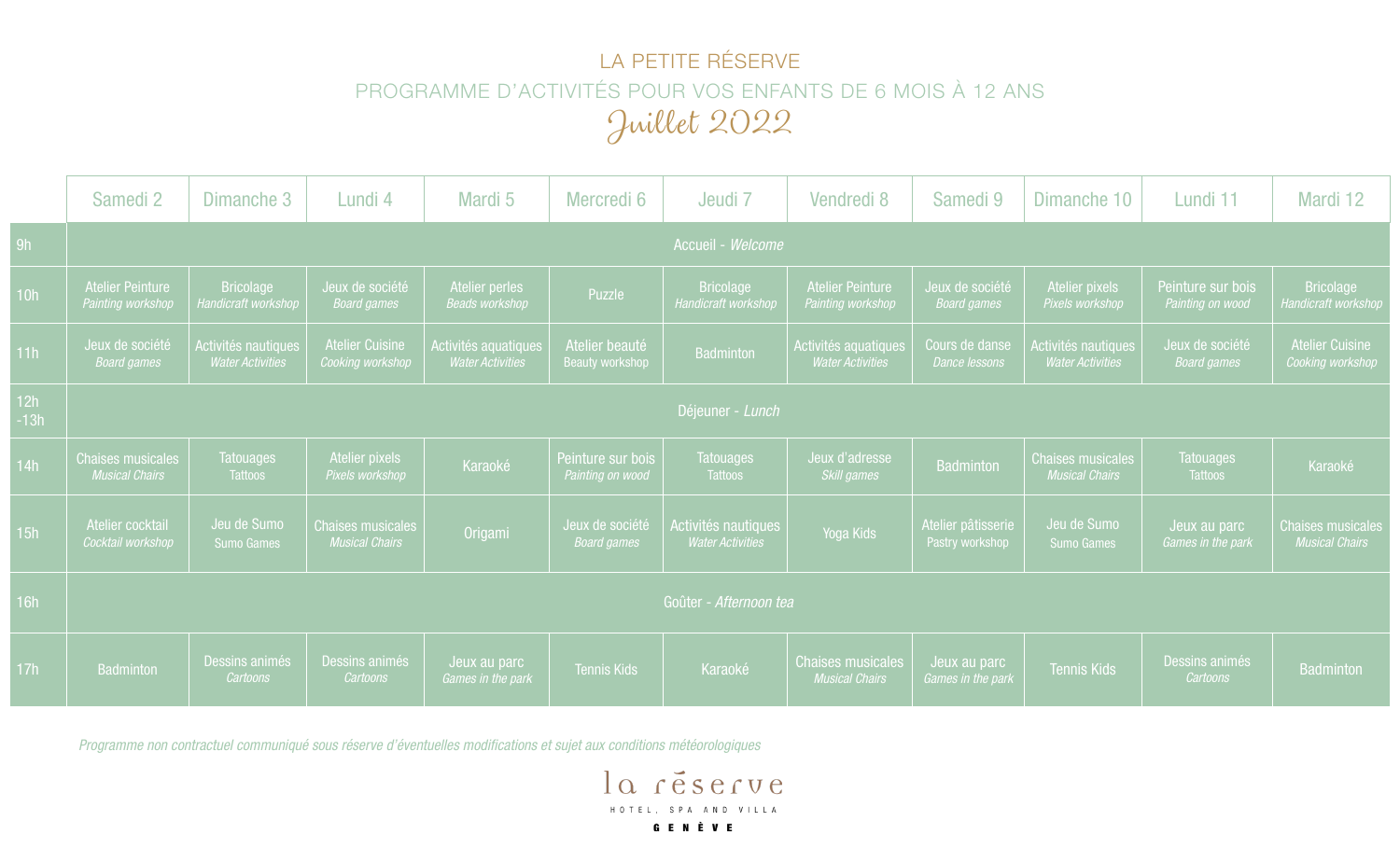## LA PETITE RÉSERVE PROGRAMME D'ACTIVITÉS POUR VOS ENFANTS DE 6 MOIS À 12 ANS Juillet 2022

|               | Samedi <sub>2</sub>                               | Dimanche 3                                     | Lundi 4                                           | Mardi 5                                         | Mercredi 6                            | Jeudi 7                                        | Vendredi 8                                        | Samedi 9                                      | Dimanche 10                                       | Lundi 11                              | Mardi 12                                          |
|---------------|---------------------------------------------------|------------------------------------------------|---------------------------------------------------|-------------------------------------------------|---------------------------------------|------------------------------------------------|---------------------------------------------------|-----------------------------------------------|---------------------------------------------------|---------------------------------------|---------------------------------------------------|
| 9h            | Accueil - Welcome                                 |                                                |                                                   |                                                 |                                       |                                                |                                                   |                                               |                                                   |                                       |                                                   |
| 10h           | <b>Atelier Peinture</b><br>Painting workshop      | <b>Bricolage</b><br><b>Handicraft workshop</b> | Jeux de société<br><b>Board games</b>             | Atelier perles<br><b>Beads workshop</b>         | Puzzle                                | <b>Bricolage</b><br>Handicraft workshop        | <b>Atelier Peinture</b><br>Painting workshop      | Jeux de soc <u>iété</u><br><b>Board games</b> | Atelier pixels<br>Pixels workshop                 | Peinture sur bois<br>Painting on wood | <b>Bricolage</b><br><b>Handicraft workshop</b>    |
| 11h           | Jeux de société<br><b>Board games</b>             | Activités nautiques<br><b>Water Activities</b> | <b>Atelier Cuisine</b><br>Cooking workshop        | Activités aquatiques<br><b>Water Activities</b> | Atelier beauté<br>Beauty workshop     | <b>Badminton</b>                               | Activités aquatiques<br><b>Water Activities</b>   | Cours de danse<br>Dance lessons               | Activités nautiques<br><b>Water Activities</b>    | Jeux de société<br><b>Board games</b> | <b>Atelier Cuisine</b><br>Cooking workshop        |
| 12h<br>$-13h$ | Déjeuner - Lunch                                  |                                                |                                                   |                                                 |                                       |                                                |                                                   |                                               |                                                   |                                       |                                                   |
| 14h           | <b>Chaises musicales</b><br><b>Musical Chairs</b> | <b>Tatouages</b><br>Tattoos                    | Atelier pixels<br>Pixels workshop                 | Karaoké                                         | Peinture sur bois<br>Painting on wood | <b>Tatouages</b><br><b>Tattoos</b>             | Jeux d'adresse<br>Skill games                     | Badminton                                     | <b>Chaises musicales</b><br><b>Musical Chairs</b> | <b>Tatouages</b><br>Tattoos           | Karaoké                                           |
| 15h           | Atelier cocktail<br>Cocktail workshop             | Jeu de Sumo<br><b>Sumo Games</b>               | <b>Chaises musicales</b><br><b>Musical Chairs</b> | Origami                                         | Jeux de société<br><b>Board games</b> | Activités nautiques<br><b>Water Activities</b> | Yoga Kids                                         | Atelier pâtisserie<br>Pastry workshop         | Jeu de Sumo<br><b>Sumo Games</b>                  | Jeux au parc<br>Games in the park     | <b>Chaises musicales</b><br><b>Musical Chairs</b> |
| 16h           | Goûter - Afternoon tea                            |                                                |                                                   |                                                 |                                       |                                                |                                                   |                                               |                                                   |                                       |                                                   |
| 17h           | <b>Badminton</b>                                  | Dessins animés<br>Cartoons                     | Dessins animés<br>Cartoons                        | Jeux au parc<br>Games in the park               | <b>Tennis Kids</b>                    | Karaoké                                        | <b>Chaises musicales</b><br><b>Musical Chairs</b> | Jeux au parc<br>Games in the park             | <b>Tennis Kids</b>                                | Dessins animés<br>Cartoons            | <b>Badminton</b>                                  |

*Programme non contractuel communiqué sous réserve d'éventuelles modifications et sujet aux conditions météorologiques*

la réserve HOTEL, SPA AND VILLA **GENÈVE**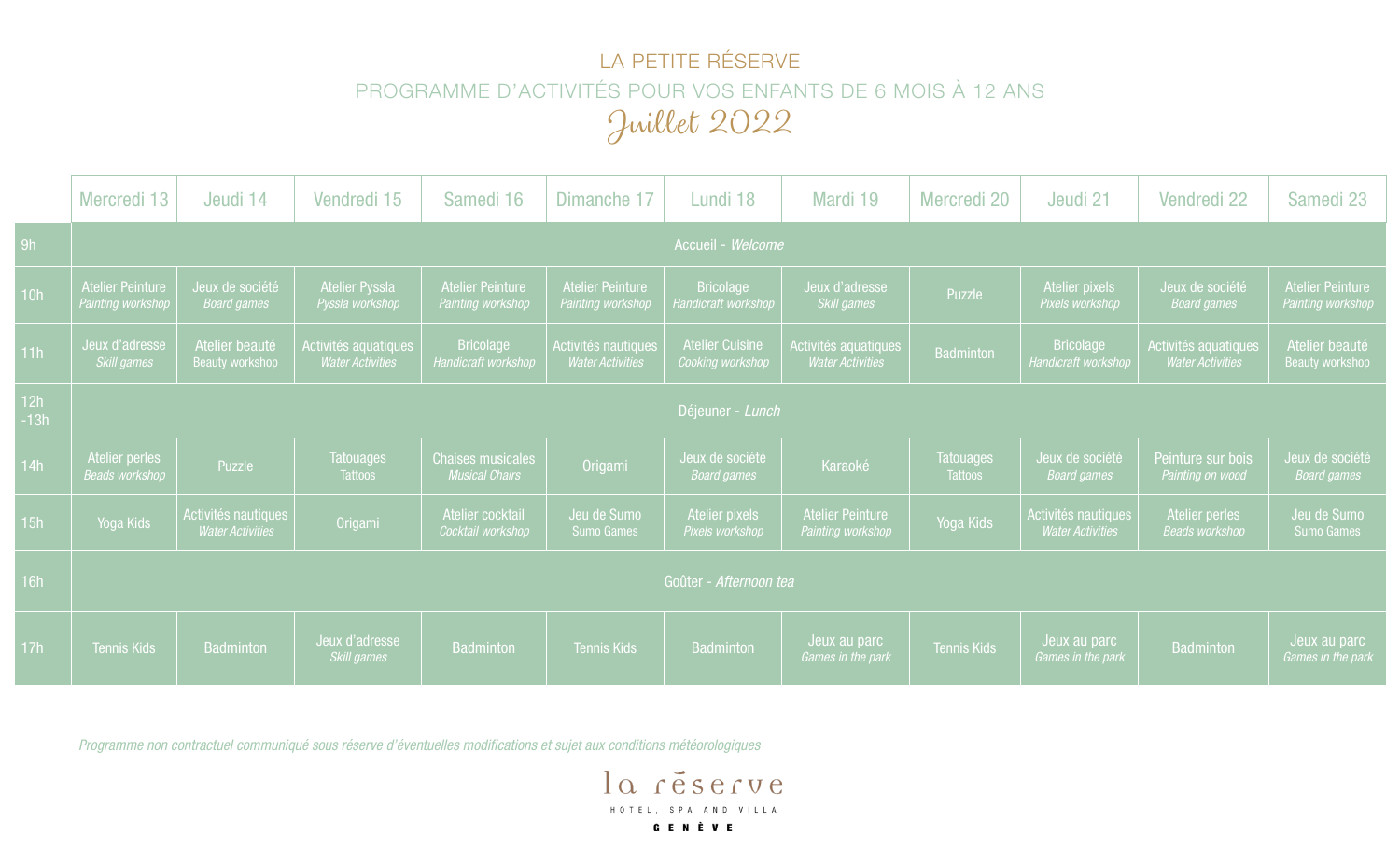## LA PETITE RÉSERVE PROGRAMME D'ACTIVITÉS POUR VOS ENFANTS DE 6 MOIS À 12 ANS Juillet 2022

|               | Mercredi 13                             | Jeudi 14                                       | Vendredi 15                                     | Samedi 16                                         | Dimanche 17                                    | Lundi 18                                   | Mardi 19                                        | Mercredi 20                        | Jeudi 21                                       | Vendredi 22                                     | Samedi 23                                    |  |  |
|---------------|-----------------------------------------|------------------------------------------------|-------------------------------------------------|---------------------------------------------------|------------------------------------------------|--------------------------------------------|-------------------------------------------------|------------------------------------|------------------------------------------------|-------------------------------------------------|----------------------------------------------|--|--|
| 9h            |                                         |                                                |                                                 |                                                   |                                                | Accueil - Welcome                          |                                                 |                                    |                                                |                                                 |                                              |  |  |
| 10h           | Atelier Peinture<br>Painting workshop   | Jeux de société<br><b>Board games</b>          | <b>Atelier Pyssla</b><br>Pyssla workshop        | Atelier Peinture<br>Painting workshop             | <b>Atelier Peinture</b><br>Painting workshop   | <b>Bricolage</b><br>Handicraft workshop    | Jeux d'adresse<br>Skill games                   | Puzzle                             | Atelier pixels<br>Pixels workshop              | Jeux de société<br><b>Board games</b>           | <b>Atelier Peinture</b><br>Painting workshop |  |  |
| 11h           | Jeux d'adresse<br>Skill games           | Atelier beauté<br><b>Beauty workshop</b>       | Activités aguatiques<br><b>Water Activities</b> | <b>Bricolage</b><br>Handicraft workshop           | Activités nautiques<br><b>Water Activities</b> | <b>Atelier Cuisine</b><br>Cooking workshop | Activités aquatiques<br><b>Water Activities</b> | <b>Badminton</b>                   | <b>Bricolage</b><br>Handicraft workshop        | Activités aquatiques<br><b>Water Activities</b> | Atelier beauté<br><b>Beauty workshop</b>     |  |  |
| 12h<br>$-13h$ | Déjeuner - Lunch                        |                                                |                                                 |                                                   |                                                |                                            |                                                 |                                    |                                                |                                                 |                                              |  |  |
| 14h           | Atelier perles<br><b>Beads workshop</b> | Puzzle                                         | <b>Tatouages</b><br><b>Tattoos</b>              | <b>Chaises musicales</b><br><b>Musical Chairs</b> | Origami                                        | Jeux de société<br><b>Board games</b>      | Karaoké                                         | <b>Tatouages</b><br><b>Tattoos</b> | Jeux de société<br><b>Board games</b>          | Peinture sur bois<br>Painting on wood           | Jeux de société<br><b>Board games</b>        |  |  |
| 15h           | Yoga Kids                               | Activités nautiques<br><b>Water Activities</b> | Origami                                         | Atelier cocktail<br>Cocktail workshop             | Jeu de Sumo<br><b>Sumo Games</b>               | <b>Atelier pixels</b><br>Pixels workshop   | <b>Atelier Peinture</b><br>Painting workshop    | Yoga Kids                          | Activités nautiques<br><b>Water Activities</b> | Atelier perles<br><b>Beads workshop</b>         | Jeu de Sumo<br><b>Sumo Games</b>             |  |  |
| 16h           | Goûter - Afternoon tea                  |                                                |                                                 |                                                   |                                                |                                            |                                                 |                                    |                                                |                                                 |                                              |  |  |
| 17h           | <b>Tennis Kids</b>                      | <b>Badminton</b>                               | Jeux d'adresse<br>Skill games                   | <b>Badminton</b>                                  | <b>Tennis Kids</b>                             | <b>Badminton</b>                           | Jeux au parc<br>Games in the park               | <b>Tennis Kids</b>                 | Jeux au parc<br>Games in the park              | Badminton                                       | Jeux au parc<br>Games in the park            |  |  |

*Programme non contractuel communiqué sous réserve d'éventuelles modifications et sujet aux conditions météorologiques*